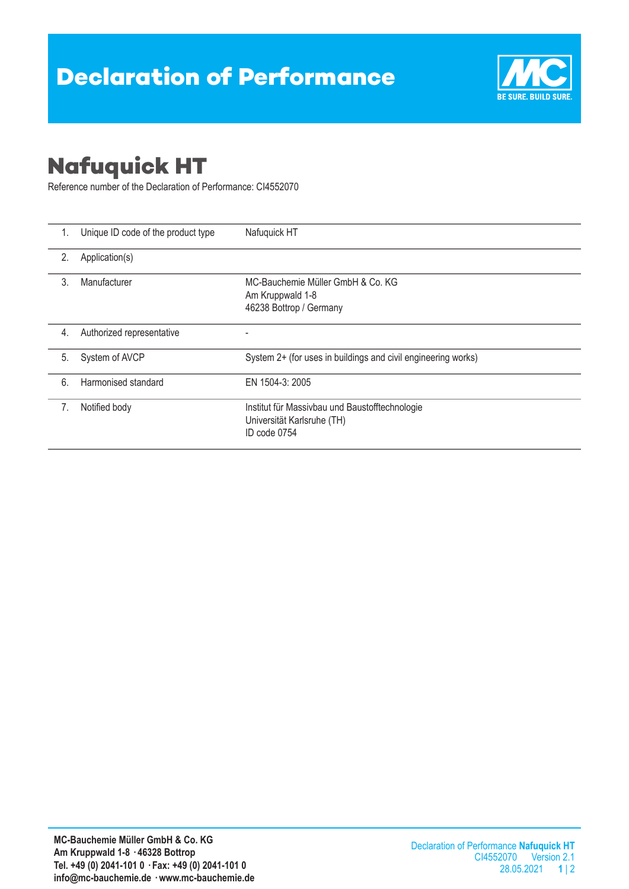

## **Nafuquick HT**

Reference number of the Declaration of Performance: CI4552070

| 1.           | Unique ID code of the product type | Nafuquick HT                                                                                 |  |
|--------------|------------------------------------|----------------------------------------------------------------------------------------------|--|
| 2.           | Application(s)                     |                                                                                              |  |
| $\mathbf{3}$ | Manufacturer                       | MC-Bauchemie Müller GmbH & Co. KG<br>Am Kruppwald 1-8<br>46238 Bottrop / Germany             |  |
| 4.           | Authorized representative          |                                                                                              |  |
| 5.           | System of AVCP                     | System 2+ (for uses in buildings and civil engineering works)                                |  |
| 6.           | Harmonised standard                | EN 1504-3: 2005                                                                              |  |
| 7.           | Notified body                      | Institut für Massivbau und Baustofftechnologie<br>Universität Karlsruhe (TH)<br>ID code 0754 |  |